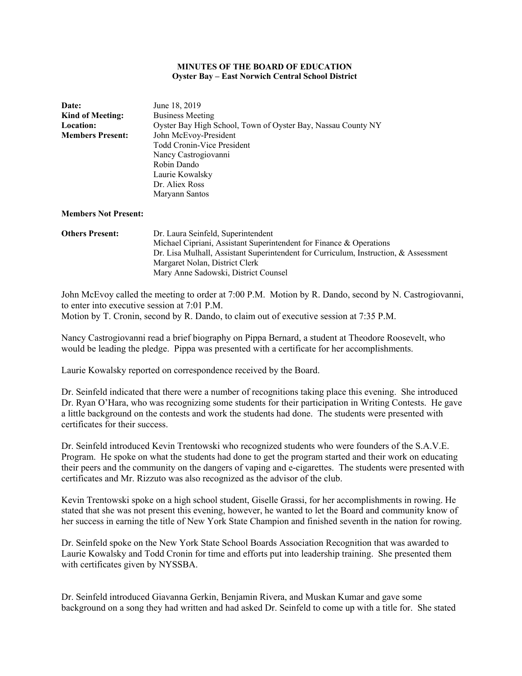#### **MINUTES OF THE BOARD OF EDUCATION Oyster Bay – East Norwich Central School District**

| <b>Date:</b>            | June 18, 2019                                                |
|-------------------------|--------------------------------------------------------------|
| <b>Kind of Meeting:</b> | <b>Business Meeting</b>                                      |
| <b>Location:</b>        | Oyster Bay High School, Town of Oyster Bay, Nassau County NY |
| <b>Members Present:</b> | John McEvoy-President                                        |
|                         | Todd Cronin-Vice President                                   |
|                         | Nancy Castrogiovanni                                         |
|                         | Robin Dando                                                  |
|                         | Laurie Kowalsky                                              |
|                         | Dr. Aliex Ross                                               |
|                         | Maryann Santos                                               |
|                         |                                                              |
|                         |                                                              |

# **Members Not Present:**

**Others Present:** Dr. Laura Seinfeld, Superintendent Michael Cipriani, Assistant Superintendent for Finance & Operations Dr. Lisa Mulhall, Assistant Superintendent for Curriculum, Instruction, & Assessment Margaret Nolan, District Clerk Mary Anne Sadowski, District Counsel

John McEvoy called the meeting to order at 7:00 P.M. Motion by R. Dando, second by N. Castrogiovanni, to enter into executive session at 7:01 P.M. Motion by T. Cronin, second by R. Dando, to claim out of executive session at 7:35 P.M.

Nancy Castrogiovanni read a brief biography on Pippa Bernard, a student at Theodore Roosevelt, who would be leading the pledge. Pippa was presented with a certificate for her accomplishments.

Laurie Kowalsky reported on correspondence received by the Board.

Dr. Seinfeld indicated that there were a number of recognitions taking place this evening. She introduced Dr. Ryan O'Hara, who was recognizing some students for their participation in Writing Contests. He gave a little background on the contests and work the students had done. The students were presented with certificates for their success.

Dr. Seinfeld introduced Kevin Trentowski who recognized students who were founders of the S.A.V.E. Program. He spoke on what the students had done to get the program started and their work on educating their peers and the community on the dangers of vaping and e-cigarettes. The students were presented with certificates and Mr. Rizzuto was also recognized as the advisor of the club.

Kevin Trentowski spoke on a high school student, Giselle Grassi, for her accomplishments in rowing. He stated that she was not present this evening, however, he wanted to let the Board and community know of her success in earning the title of New York State Champion and finished seventh in the nation for rowing.

Dr. Seinfeld spoke on the New York State School Boards Association Recognition that was awarded to Laurie Kowalsky and Todd Cronin for time and efforts put into leadership training. She presented them with certificates given by NYSSBA.

Dr. Seinfeld introduced Giavanna Gerkin, Benjamin Rivera, and Muskan Kumar and gave some background on a song they had written and had asked Dr. Seinfeld to come up with a title for. She stated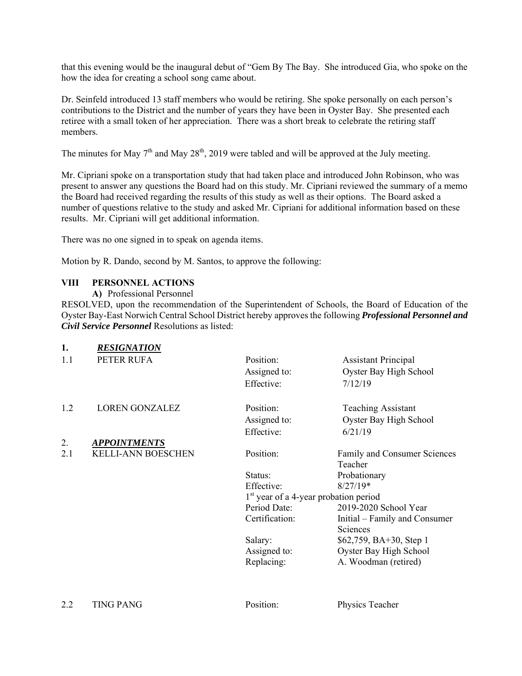that this evening would be the inaugural debut of "Gem By The Bay. She introduced Gia, who spoke on the how the idea for creating a school song came about.

Dr. Seinfeld introduced 13 staff members who would be retiring. She spoke personally on each person's contributions to the District and the number of years they have been in Oyster Bay. She presented each retiree with a small token of her appreciation. There was a short break to celebrate the retiring staff members.

The minutes for May  $7<sup>th</sup>$  and May  $28<sup>th</sup>$ , 2019 were tabled and will be approved at the July meeting.

Mr. Cipriani spoke on a transportation study that had taken place and introduced John Robinson, who was present to answer any questions the Board had on this study. Mr. Cipriani reviewed the summary of a memo the Board had received regarding the results of this study as well as their options. The Board asked a number of questions relative to the study and asked Mr. Cipriani for additional information based on these results. Mr. Cipriani will get additional information.

There was no one signed in to speak on agenda items.

Motion by R. Dando, second by M. Santos, to approve the following:

## **VIII PERSONNEL ACTIONS**

**A)** Professional Personnel

RESOLVED, upon the recommendation of the Superintendent of Schools, the Board of Education of the Oyster Bay-East Norwich Central School District hereby approves the following *Professional Personnel and Civil Service Personnel* Resolutions as listed:

| 1.  | <b>RESIGNATION</b>        |                                                   |                               |
|-----|---------------------------|---------------------------------------------------|-------------------------------|
| 1.1 | PETER RUFA                | Position:                                         | <b>Assistant Principal</b>    |
|     |                           | Assigned to:                                      | Oyster Bay High School        |
|     |                           | Effective:                                        | 7/12/19                       |
| 1.2 | <b>LOREN GONZALEZ</b>     | Position:                                         | <b>Teaching Assistant</b>     |
|     |                           | Assigned to:                                      | Oyster Bay High School        |
|     |                           | Effective:                                        | 6/21/19                       |
| 2.  | <b>APPOINTMENTS</b>       |                                                   |                               |
| 2.1 | <b>KELLI-ANN BOESCHEN</b> | Position:                                         | Family and Consumer Sciences  |
|     |                           |                                                   | Teacher                       |
|     |                           | Status:                                           | Probationary                  |
|     |                           | Effective:                                        | $8/27/19*$                    |
|     |                           | 1 <sup>st</sup> year of a 4-year probation period |                               |
|     |                           | Period Date:                                      | 2019-2020 School Year         |
|     |                           | Certification:                                    | Initial – Family and Consumer |
|     |                           |                                                   | <b>Sciences</b>               |
|     |                           | Salary:                                           | $$62,759, BA+30, Step 1$      |
|     |                           | Assigned to:                                      | Oyster Bay High School        |
|     |                           | Replacing:                                        | A. Woodman (retired)          |
|     |                           |                                                   |                               |
|     |                           |                                                   |                               |

2.2 TING PANG POSition: Physics Teacher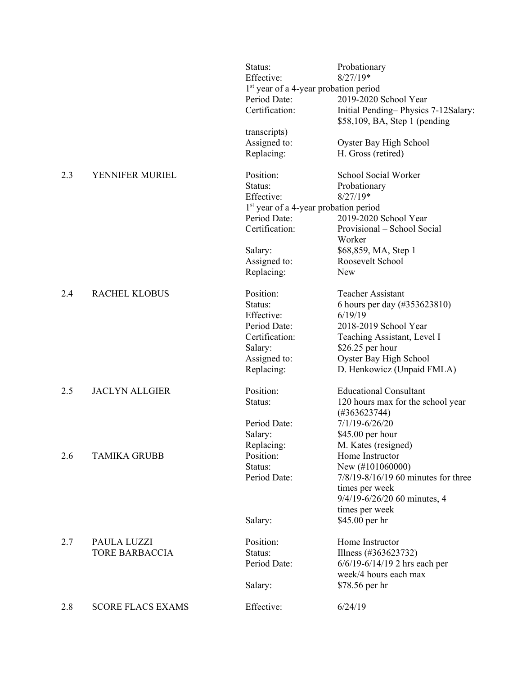|     |                          | Status:<br>Effective:                             | Probationary<br>$8/27/19*$                                             |
|-----|--------------------------|---------------------------------------------------|------------------------------------------------------------------------|
|     |                          | 1 <sup>st</sup> year of a 4-year probation period |                                                                        |
|     |                          | Period Date:                                      | 2019-2020 School Year                                                  |
|     |                          | Certification:                                    | Initial Pending-Physics 7-12Salary:<br>$$58,109$ , BA, Step 1 (pending |
|     |                          | transcripts)                                      |                                                                        |
|     |                          | Assigned to:                                      | Oyster Bay High School                                                 |
|     |                          | Replacing:                                        | H. Gross (retired)                                                     |
| 2.3 | YENNIFER MURIEL          | Position:                                         | School Social Worker                                                   |
|     |                          | Status:                                           | Probationary                                                           |
|     |                          | Effective:                                        | $8/27/19*$                                                             |
|     |                          | $1st$ year of a 4-year probation period           |                                                                        |
|     |                          | Period Date:                                      | 2019-2020 School Year                                                  |
|     |                          | Certification:                                    | Provisional - School Social<br>Worker                                  |
|     |                          | Salary:                                           | \$68,859, MA, Step 1                                                   |
|     |                          | Assigned to:                                      | Roosevelt School                                                       |
|     |                          | Replacing:                                        | <b>New</b>                                                             |
| 2.4 | <b>RACHEL KLOBUS</b>     | Position:                                         | <b>Teacher Assistant</b>                                               |
|     |                          | Status:                                           | 6 hours per day (#353623810)                                           |
|     |                          | Effective:                                        | 6/19/19                                                                |
|     |                          | Period Date:                                      | 2018-2019 School Year                                                  |
|     |                          | Certification:                                    | Teaching Assistant, Level I                                            |
|     |                          | Salary:                                           | $$26.25$ per hour                                                      |
|     |                          | Assigned to:                                      | Oyster Bay High School                                                 |
|     |                          | Replacing:                                        | D. Henkowicz (Unpaid FMLA)                                             |
| 2.5 | <b>JACLYN ALLGIER</b>    | Position:                                         | <b>Educational Consultant</b>                                          |
|     |                          | Status:                                           | 120 hours max for the school year<br>$(\#363623744)$                   |
|     |                          | Period Date:                                      | $7/1/19 - 6/26/20$                                                     |
|     |                          | Salary:                                           | \$45.00 per hour                                                       |
|     |                          | Replacing:                                        | M. Kates (resigned)                                                    |
| 2.6 | <b>TAMIKA GRUBB</b>      | Position:                                         | Home Instructor                                                        |
|     |                          | Status:                                           | New (#101060000)                                                       |
|     |                          | Period Date:                                      | 7/8/19-8/16/19 60 minutes for three<br>times per week                  |
|     |                          |                                                   | 9/4/19-6/26/20 60 minutes, 4                                           |
|     |                          |                                                   | times per week                                                         |
|     |                          | Salary:                                           | \$45.00 per hr                                                         |
| 2.7 | PAULA LUZZI              | Position:                                         | Home Instructor                                                        |
|     | <b>TORE BARBACCIA</b>    | Status:                                           | Illness (#363623732)                                                   |
|     |                          | Period Date:                                      | $6/6/19 - 6/14/19$ 2 hrs each per                                      |
|     |                          |                                                   | week/4 hours each max                                                  |
|     |                          | Salary:                                           | \$78.56 per hr                                                         |
| 2.8 | <b>SCORE FLACS EXAMS</b> | Effective:                                        | 6/24/19                                                                |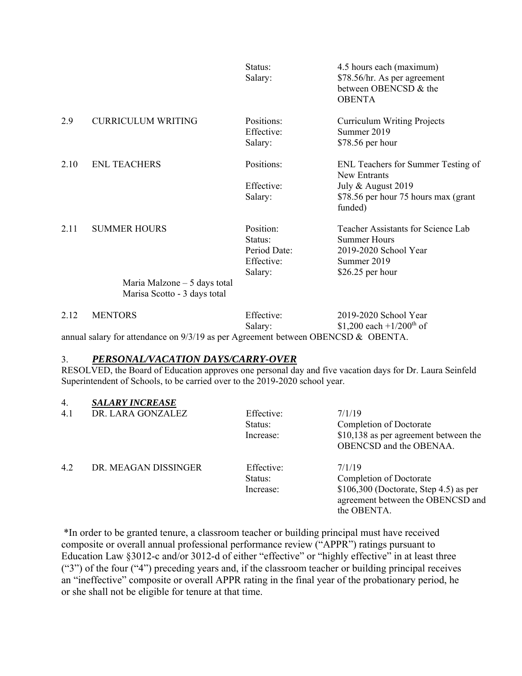|           |                                                      | Status:<br>Salary:                                            | 4.5 hours each (maximum)<br>\$78.56/hr. As per agreement<br>between OBENCSD & the<br><b>OBENTA</b>                          |
|-----------|------------------------------------------------------|---------------------------------------------------------------|-----------------------------------------------------------------------------------------------------------------------------|
| 2.9       | <b>CURRICULUM WRITING</b>                            | Positions:<br>Effective:<br>Salary:                           | <b>Curriculum Writing Projects</b><br>Summer 2019<br>\$78.56 per hour                                                       |
| 2.10      | <b>ENL TEACHERS</b>                                  | Positions:<br>Effective:<br>Salary:                           | ENL Teachers for Summer Testing of<br>New Entrants<br>July & August 2019<br>\$78.56 per hour 75 hours max (grant<br>funded) |
| 2.11      | <b>SUMMER HOURS</b><br>Maria Malzone $-5$ days total | Position:<br>Status:<br>Period Date:<br>Effective:<br>Salary: | Teacher Assistants for Science Lab<br>Summer Hours<br>2019-2020 School Year<br>Summer 2019<br>\$26.25 per hour              |
|           | Marisa Scotto - 3 days total                         |                                                               |                                                                                                                             |
| $\sim$ 10 | <b>MENTODO</b>                                       | $\Gamma$ cc.                                                  | 2010.2020011.1                                                                                                              |

| 2.12 | <b>MENTORS</b>                                                                      | Effective: | 2019-2020 School Year                |
|------|-------------------------------------------------------------------------------------|------------|--------------------------------------|
|      |                                                                                     | Salary:    | \$1,200 each +1/200 <sup>th</sup> of |
|      | annual salary for attendance on $9/3/19$ as per Agreement between OBENCSD & OBENTA. |            |                                      |

### 3. *PERSONAL/VACATION DAYS/CARRY-OVER*

RESOLVED, the Board of Education approves one personal day and five vacation days for Dr. Laura Seinfeld Superintendent of Schools, to be carried over to the 2019-2020 school year.

### 4. *SALARY INCREASE*

| 4.1 | DR. LARA GONZALEZ    | Effective:<br>Status:<br>Increase: | 7/1/19<br>Completion of Doctorate<br>\$10,138 as per agreement between the<br><b>OBENCSD</b> and the OBENAA.                     |
|-----|----------------------|------------------------------------|----------------------------------------------------------------------------------------------------------------------------------|
| 4.2 | DR. MEAGAN DISSINGER | Effective:<br>Status:<br>Increase: | 7/1/19<br>Completion of Doctorate<br>$$106,300$ (Doctorate, Step 4.5) as per<br>agreement between the OBENCSD and<br>the OBENTA. |

\*In order to be granted tenure, a classroom teacher or building principal must have received composite or overall annual professional performance review ("APPR") ratings pursuant to Education Law §3012-c and/or 3012-d of either "effective" or "highly effective" in at least three ("3") of the four ("4") preceding years and, if the classroom teacher or building principal receives an "ineffective" composite or overall APPR rating in the final year of the probationary period, he or she shall not be eligible for tenure at that time.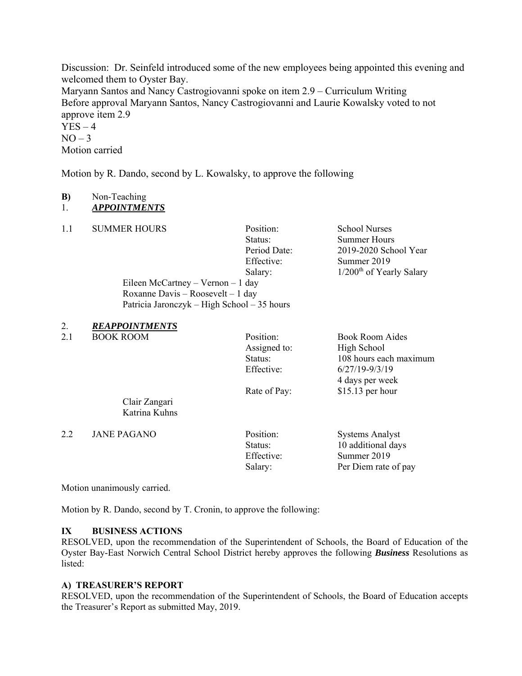Discussion: Dr. Seinfeld introduced some of the new employees being appointed this evening and welcomed them to Oyster Bay.

Maryann Santos and Nancy Castrogiovanni spoke on item 2.9 – Curriculum Writing Before approval Maryann Santos, Nancy Castrogiovanni and Laurie Kowalsky voted to not approve item 2.9

 $YES - 4$  $NO-3$ Motion carried

Motion by R. Dando, second by L. Kowalsky, to approve the following

Eileen McCartney – Vernon – 1 day Roxanne Davis – Roosevelt – 1 day

Patricia Jaronczyk – High School – 35 hours

## **B)** Non-Teaching

```
1. APPOINTMENTS
```
1.1 SUMMER HOURS Position: School Nurses

Status: Summer Hours Period Date: 2019-2020 School Year Effective: Summer 2019 Salary: 1/200<sup>th</sup> of Yearly Salary

2. *REAPPOINTMENTS* 

2.1 BOOK ROOM Position: Book Room Aides

Assigned to: High School

Status: 108 hours each maximum Effective: 6/27/19-9/3/19 4 days per week Rate of Pay: \$15.13 per hour

 Clair Zangari Katrina Kuhns

2.2 JANE PAGANO Position: Systems Analyst

Status: 10 additional days Effective: Summer 2019 Salary: Per Diem rate of pay

Motion unanimously carried.

Motion by R. Dando, second by T. Cronin, to approve the following:

## **IX BUSINESS ACTIONS**

RESOLVED, upon the recommendation of the Superintendent of Schools, the Board of Education of the Oyster Bay-East Norwich Central School District hereby approves the following *Business* Resolutions as listed:

## **A) TREASURER'S REPORT**

RESOLVED, upon the recommendation of the Superintendent of Schools, the Board of Education accepts the Treasurer's Report as submitted May, 2019.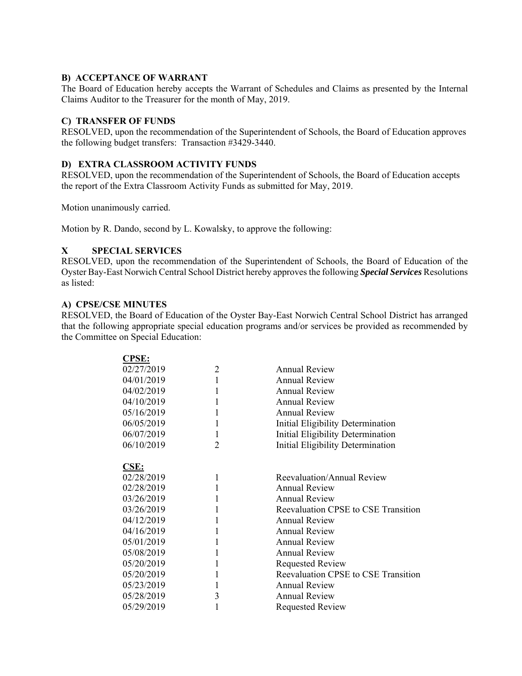### **B) ACCEPTANCE OF WARRANT**

The Board of Education hereby accepts the Warrant of Schedules and Claims as presented by the Internal Claims Auditor to the Treasurer for the month of May, 2019.

### **C) TRANSFER OF FUNDS**

RESOLVED, upon the recommendation of the Superintendent of Schools, the Board of Education approves the following budget transfers: Transaction #3429-3440.

## **D) EXTRA CLASSROOM ACTIVITY FUNDS**

RESOLVED, upon the recommendation of the Superintendent of Schools, the Board of Education accepts the report of the Extra Classroom Activity Funds as submitted for May, 2019.

Motion unanimously carried.

Motion by R. Dando, second by L. Kowalsky, to approve the following:

## **X SPECIAL SERVICES**

RESOLVED, upon the recommendation of the Superintendent of Schools, the Board of Education of the Oyster Bay-East Norwich Central School District hereby approves the following *Special Services* Resolutions as listed:

### **A) CPSE/CSE MINUTES**

RESOLVED, the Board of Education of the Oyster Bay-East Norwich Central School District has arranged that the following appropriate special education programs and/or services be provided as recommended by the Committee on Special Education:

| $\overline{2}$ | <b>Annual Review</b>                |
|----------------|-------------------------------------|
| 1              | <b>Annual Review</b>                |
| 1              | <b>Annual Review</b>                |
| 1              | <b>Annual Review</b>                |
| 1              | <b>Annual Review</b>                |
| 1              | Initial Eligibility Determination   |
| $\mathbf{1}$   | Initial Eligibility Determination   |
| $\overline{2}$ | Initial Eligibility Determination   |
|                |                                     |
|                |                                     |
| 1              | Reevaluation/Annual Review          |
| 1              | <b>Annual Review</b>                |
| 1              | <b>Annual Review</b>                |
| 1              | Reevaluation CPSE to CSE Transition |
| 1              | <b>Annual Review</b>                |
| 1              | <b>Annual Review</b>                |
| 1              | <b>Annual Review</b>                |
| 1              | <b>Annual Review</b>                |
| 1              | <b>Requested Review</b>             |
| 1              | Reevaluation CPSE to CSE Transition |
| 1              | <b>Annual Review</b>                |
| 3              | <b>Annual Review</b>                |
| 1              | <b>Requested Review</b>             |
|                |                                     |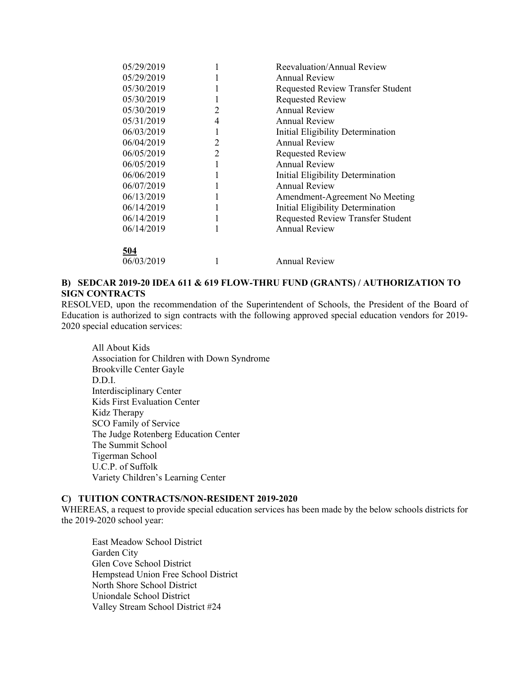| Reevaluation/Annual Review               |
|------------------------------------------|
|                                          |
| <b>Requested Review Transfer Student</b> |
|                                          |
|                                          |
|                                          |
| Initial Eligibility Determination        |
|                                          |
|                                          |
|                                          |
| Initial Eligibility Determination        |
|                                          |
| Amendment-Agreement No Meeting           |
| Initial Eligibility Determination        |
| Requested Review Transfer Student        |
|                                          |
|                                          |
|                                          |
|                                          |
|                                          |

## **B) SEDCAR 2019-20 IDEA 611 & 619 FLOW-THRU FUND (GRANTS) / AUTHORIZATION TO SIGN CONTRACTS**

RESOLVED, upon the recommendation of the Superintendent of Schools, the President of the Board of Education is authorized to sign contracts with the following approved special education vendors for 2019- 2020 special education services:

All About Kids Association for Children with Down Syndrome Brookville Center Gayle D.D.I. Interdisciplinary Center Kids First Evaluation Center Kidz Therapy SCO Family of Service The Judge Rotenberg Education Center The Summit School Tigerman School U.C.P. of Suffolk Variety Children's Learning Center

#### **C) TUITION CONTRACTS/NON-RESIDENT 2019-2020**

WHEREAS, a request to provide special education services has been made by the below schools districts for the 2019-2020 school year:

East Meadow School District Garden City Glen Cove School District Hempstead Union Free School District North Shore School District Uniondale School District Valley Stream School District #24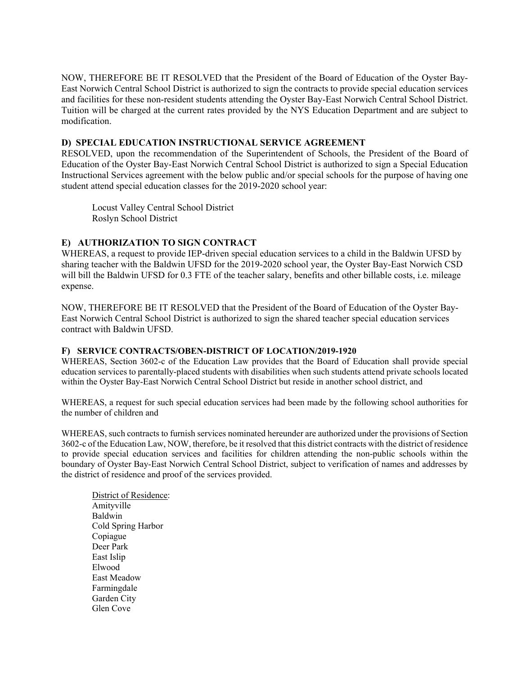NOW, THEREFORE BE IT RESOLVED that the President of the Board of Education of the Oyster Bay-East Norwich Central School District is authorized to sign the contracts to provide special education services and facilities for these non-resident students attending the Oyster Bay-East Norwich Central School District. Tuition will be charged at the current rates provided by the NYS Education Department and are subject to modification.

#### **D) SPECIAL EDUCATION INSTRUCTIONAL SERVICE AGREEMENT**

RESOLVED, upon the recommendation of the Superintendent of Schools, the President of the Board of Education of the Oyster Bay-East Norwich Central School District is authorized to sign a Special Education Instructional Services agreement with the below public and/or special schools for the purpose of having one student attend special education classes for the 2019-2020 school year:

Locust Valley Central School District Roslyn School District

### **E) AUTHORIZATION TO SIGN CONTRACT**

WHEREAS, a request to provide IEP-driven special education services to a child in the Baldwin UFSD by sharing teacher with the Baldwin UFSD for the 2019-2020 school year, the Oyster Bay-East Norwich CSD will bill the Baldwin UFSD for 0.3 FTE of the teacher salary, benefits and other billable costs, i.e. mileage expense.

NOW, THEREFORE BE IT RESOLVED that the President of the Board of Education of the Oyster Bay-East Norwich Central School District is authorized to sign the shared teacher special education services contract with Baldwin UFSD.

#### **F) SERVICE CONTRACTS/OBEN-DISTRICT OF LOCATION/2019-1920**

WHEREAS, Section 3602-c of the Education Law provides that the Board of Education shall provide special education services to parentally-placed students with disabilities when such students attend private schools located within the Oyster Bay-East Norwich Central School District but reside in another school district, and

WHEREAS, a request for such special education services had been made by the following school authorities for the number of children and

WHEREAS, such contracts to furnish services nominated hereunder are authorized under the provisions of Section 3602-c of the Education Law, NOW, therefore, be it resolved that this district contracts with the district of residence to provide special education services and facilities for children attending the non-public schools within the boundary of Oyster Bay-East Norwich Central School District, subject to verification of names and addresses by the district of residence and proof of the services provided.

District of Residence: Amityville Baldwin Cold Spring Harbor Copiague Deer Park East Islip Elwood East Meadow Farmingdale Garden City Glen Cove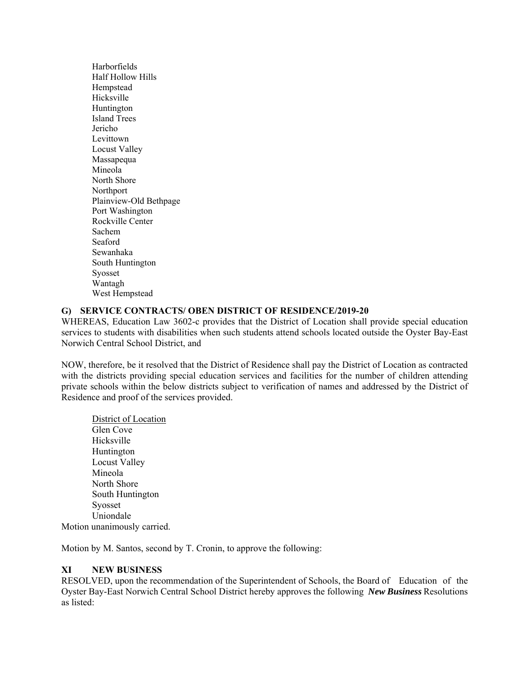Harborfields Half Hollow Hills Hempstead Hicksville Huntington Island Trees Jericho Levittown Locust Valley Massapequa Mineola North Shore Northport Plainview-Old Bethpage Port Washington Rockville Center Sachem Seaford Sewanhaka South Huntington Syosset Wantagh West Hempstead

## **G) SERVICE CONTRACTS/ OBEN DISTRICT OF RESIDENCE/2019-20**

WHEREAS, Education Law 3602-c provides that the District of Location shall provide special education services to students with disabilities when such students attend schools located outside the Oyster Bay-East Norwich Central School District, and

NOW, therefore, be it resolved that the District of Residence shall pay the District of Location as contracted with the districts providing special education services and facilities for the number of children attending private schools within the below districts subject to verification of names and addressed by the District of Residence and proof of the services provided.

District of Location Glen Cove Hicksville Huntington Locust Valley Mineola North Shore South Huntington Syosset Uniondale Motion unanimously carried.

Motion by M. Santos, second by T. Cronin, to approve the following:

### **XI NEW BUSINESS**

RESOLVED, upon the recommendation of the Superintendent of Schools, the Board of Education of the Oyster Bay-East Norwich Central School District hereby approves the following *New Business* Resolutions as listed: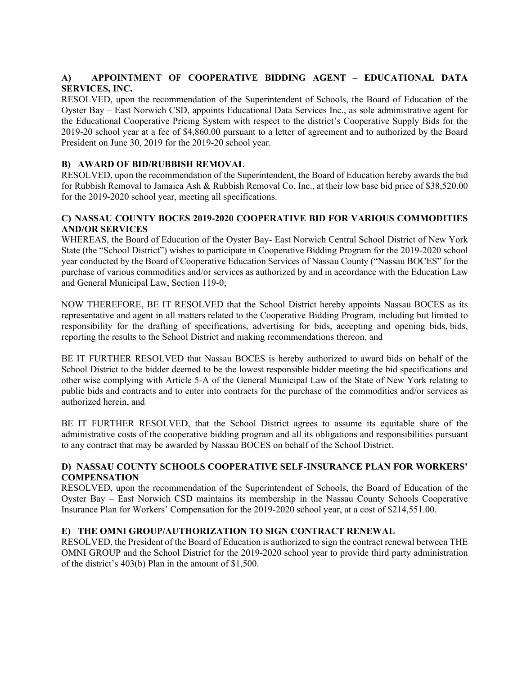## **A) APPOINTMENT OF COOPERATIVE BIDDING AGENT – EDUCATIONAL DATA SERVICES, INC.**

RESOLVED, upon the recommendation of the Superintendent of Schools, the Board of Education of the Oyster Bay – East Norwich CSD, appoints Educational Data Services Inc., as sole administrative agent for the Educational Cooperative Pricing System with respect to the district's Cooperative Supply Bids for the 2019-20 school year at a fee of \$4,860.00 pursuant to a letter of agreement and to authorized by the Board President on June 30, 2019 for the 2019-20 school year.

## **B) AWARD OF BID/RUBBISH REMOVAL**

RESOLVED, upon the recommendation of the Superintendent, the Board of Education hereby awards the bid for Rubbish Removal to Jamaica Ash & Rubbish Removal Co. Inc., at their low base bid price of \$38,520.00 for the 2019-2020 school year, meeting all specifications.

## **C) NASSAU COUNTY BOCES 2019-2020 COOPERATIVE BID FOR VARIOUS COMMODITIES AND/OR SERVICES**

WHEREAS, the Board of Education of the Oyster Bay- East Norwich Central School District of New York State (the "School District") wishes to participate in Cooperative Bidding Program for the 2019-2020 school year conducted by the Board of Cooperative Education Services of Nassau County ("Nassau BOCES" for the purchase of various commodities and/or services as authorized by and in accordance with the Education Law and General Municipal Law, Section 119-0;

NOW THEREFORE, BE IT RESOLVED that the School District hereby appoints Nassau BOCES as its representative and agent in all matters related to the Cooperative Bidding Program, including but limited to responsibility for the drafting of specifications, advertising for bids, accepting and opening bids, bids, reporting the results to the School District and making recommendations thereon, and

BE IT FURTHER RESOLVED that Nassau BOCES is hereby authorized to award bids on behalf of the School District to the bidder deemed to be the lowest responsible bidder meeting the bid specifications and other wise complying with Article 5-A of the General Municipal Law of the State of New York relating to public bids and contracts and to enter into contracts for the purchase of the commodities and/or services as authorized herein, and

BE IT FURTHER RESOLVED, that the School District agrees to assume its equitable share of the administrative costs of the cooperative bidding program and all its obligations and responsibilities pursuant to any contract that may be awarded by Nassau BOCES on behalf of the School District.

## **D) NASSAU COUNTY SCHOOLS COOPERATIVE SELF-INSURANCE PLAN FOR WORKERS' COMPENSATION**

RESOLVED, upon the recommendation of the Superintendent of Schools, the Board of Education of the Oyster Bay – East Norwich CSD maintains its membership in the Nassau County Schools Cooperative Insurance Plan for Workers' Compensation for the 2019-2020 school year, at a cost of \$214,551.00.

## **E) THE OMNI GROUP/AUTHORIZATION TO SIGN CONTRACT RENEWAL**

RESOLVED, the President of the Board of Education is authorized to sign the contract renewal between THE OMNI GROUP and the School District for the 2019-2020 school year to provide third party administration of the district's 403(b) Plan in the amount of \$1,500.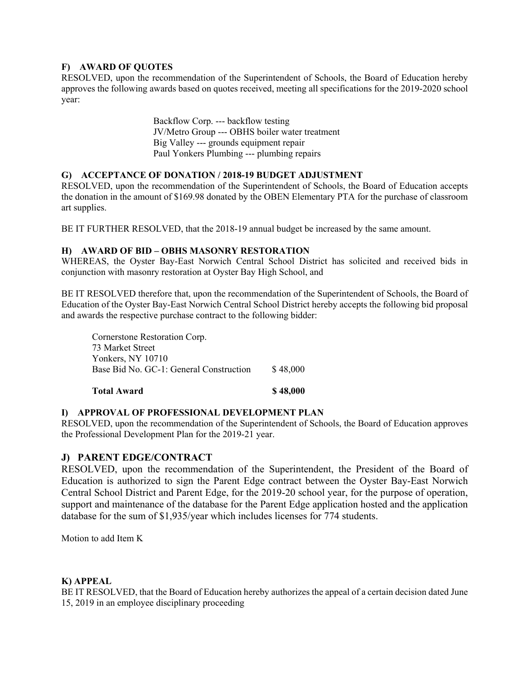## **F) AWARD OF QUOTES**

RESOLVED, upon the recommendation of the Superintendent of Schools, the Board of Education hereby approves the following awards based on quotes received, meeting all specifications for the 2019-2020 school year:

> Backflow Corp. --- backflow testing JV/Metro Group --- OBHS boiler water treatment Big Valley --- grounds equipment repair Paul Yonkers Plumbing --- plumbing repairs

### **G) ACCEPTANCE OF DONATION / 2018-19 BUDGET ADJUSTMENT**

RESOLVED, upon the recommendation of the Superintendent of Schools, the Board of Education accepts the donation in the amount of \$169.98 donated by the OBEN Elementary PTA for the purchase of classroom art supplies.

BE IT FURTHER RESOLVED, that the 2018-19 annual budget be increased by the same amount.

### **H) AWARD OF BID – OBHS MASONRY RESTORATION**

WHEREAS, the Oyster Bay-East Norwich Central School District has solicited and received bids in conjunction with masonry restoration at Oyster Bay High School, and

BE IT RESOLVED therefore that, upon the recommendation of the Superintendent of Schools, the Board of Education of the Oyster Bay-East Norwich Central School District hereby accepts the following bid proposal and awards the respective purchase contract to the following bidder:

Cornerstone Restoration Corp. 73 Market Street Yonkers, NY 10710 Base Bid No. GC-1: General Construction \$48,000

**Total Award \$ 48,000** 

### **I) APPROVAL OF PROFESSIONAL DEVELOPMENT PLAN**

RESOLVED, upon the recommendation of the Superintendent of Schools, the Board of Education approves the Professional Development Plan for the 2019-21 year.

## **J) PARENT EDGE/CONTRACT**

RESOLVED, upon the recommendation of the Superintendent, the President of the Board of Education is authorized to sign the Parent Edge contract between the Oyster Bay-East Norwich Central School District and Parent Edge, for the 2019-20 school year, for the purpose of operation, support and maintenance of the database for the Parent Edge application hosted and the application database for the sum of \$1,935/year which includes licenses for 774 students.

Motion to add Item K

### **K) APPEAL**

BE IT RESOLVED, that the Board of Education hereby authorizes the appeal of a certain decision dated June 15, 2019 in an employee disciplinary proceeding